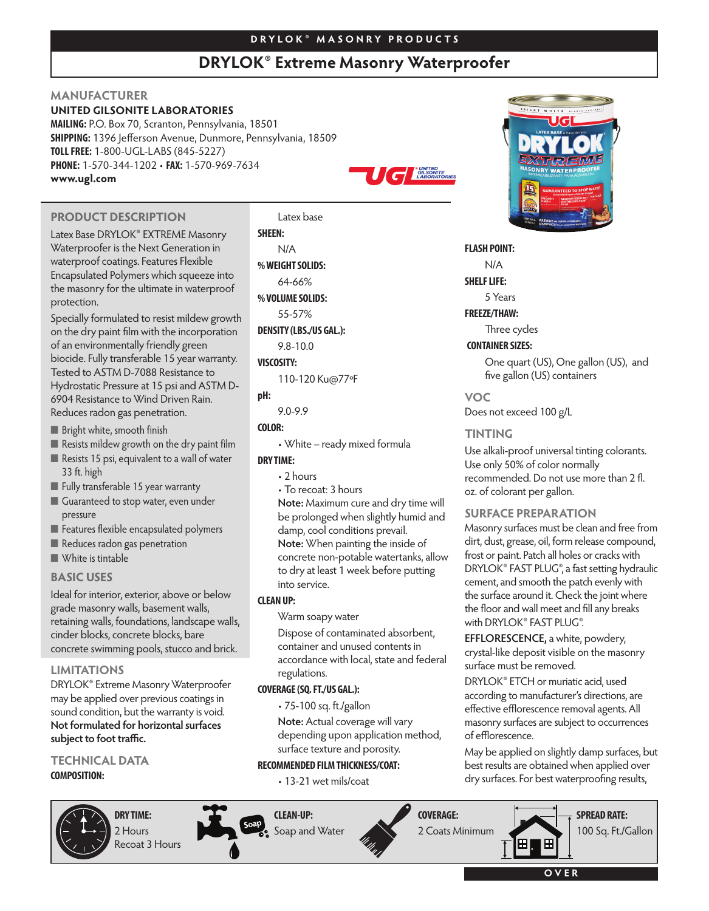# **D R Y L O K ® M A S O N R Y P R O D U C T S**

# **DRYLOK® Extreme Masonry Waterproofer**

**ENALSONITED** 

# **MANUFACTURER**

**UNITED GILSONITE LABORATORIES**

**MAILING:** P.O. Box 70, Scranton, Pennsylvania, 18501 **SHIPPING:** 1396 Jefferson Avenue, Dunmore, Pennsylvania, 18509 **TOLLFREE:** 1-800-UGL-LABS (845-5227) **PHONE:** 1-570-344-1202 • **FAX:** 1-570-969-7634 **www.ugl.com**



Latex Base DRYLOK® EXTREME Masonry Waterproofer is the Next Generation in waterproof coatings. Features Flexible Encapsulated Polymers which squeeze into the masonry for the ultimate in waterproof protection.

Specially formulated to resist mildew growth on the dry paint film with the incorporation of an environmentally friendly green biocide. Fully transferable 15 year warranty. Tested to ASTM D-7088 Resistance to Hydrostatic Pressure at 15 psi and ASTM D-6904 Resistance to Wind Driven Rain. Reduces radon gas penetration.

- Bright white, smooth finish
- Resists mildew growth on the dry paint film
- Resists 15 psi, equivalent to a wall of water 33 ft. high
- Fully transferable 15 year warranty
- Guaranteed to stop water, even under pressure
- Features flexible encapsulated polymers
- Reduces radon gas penetration
- **■** White is tintable

## **BASIC USES**

Ideal for interior, exterior, above or below grade masonry walls, basement walls, retaining walls, foundations, landscape walls, cinder blocks, concrete blocks, bare concrete swimming pools, stucco and brick.

# **LIMITATIONS**

DRYLOK® Extreme Masonry Waterproofer may be applied over previous coatings in sound condition, but the warranty is void. **Not formulated for horizontal surfaces** subject to foot traffic.

#### **TECHNICAL DATA COMPOSITION:**



**DRY TIME:** 2 Hours Recoat 3 Hours **SHEEN:** N/A **%WEIGHTSOLIDS:** 64-66% **%VOLUMESOLIDS:** 55-57%

110-120 Ku@77ºF

**pH:**

• White – ready mixed formula

# **DRY TIME:**

• 2 hours

**Note:** Maximum cure and dry time will be prolonged when slightly humid and damp, cool conditions prevail. **Note:** When painting the inside of concrete non-potable watertanks, allow to dry at least 1 week before putting into service.

## **CLEANUP:**

Warm soapy water

Dispose of contaminated absorbent, container and unused contents in accordance with local, state and federal regulations.

## **COVERAGE(SQ.FT./US GAL.):**

**CLEAN-UP:**

• 75-100 sq. ft./gallon

**Note:** Actual coverage will vary depending upon application method, surface texture and porosity.

## **RECOMMENDED FILMTHICKNESS/COAT:**

• 13-21 wet mils/coat





## **FLASH POINT:**

N/A

**SHELF LIFE:** 

5 Years

**FREEZE/THAW:**

Three cycles

# **CONTAINER SIZES:**

One quart (US), One gallon (US), and five gallon (US) containers

**VOC**

Does not exceed 100 g/L

# **TINTING**

Use alkali-proof universal tinting colorants. Use only 50% of color normally recommended. Do not use more than 2 fl. oz. of colorant per gallon.

# **SURFACE PREPARATION**

Masonry surfaces must be clean and free from dirt, dust, grease, oil, form release compound, frost or paint. Patch all holes or cracks with DRYLOK® FAST PLUG®, a fast setting hydraulic cement, and smooth the patch evenly with the surface around it. Check the joint where the floor and wall meet and fill any breaks with DRYLOK® FAST PLUG®.

**EFFLORESCENCE,** a white, powdery, crystal-like deposit visible on the masonry surface must be removed.

DRYLOK® ETCH or muriatic acid, used according to manufacturer's directions, are effective efflorescence removal agents. All masonry surfaces are subject to occurrences of efflorescence.

May be applied on slightly damp surfaces, but best results are obtained when applied over dry surfaces. For best waterproofing results,

**COVERAGE: SPREAD RATE:** 2 Coats Minimum 100 Sq. Ft./Gallon⊞ H

**O V E R**



**DENSITY (LBS./US GAL.):**

9.8-10.0

# **VISCOSITY:**

9.0-9.9

# **COLOR:**

• To recoat: 3 hours